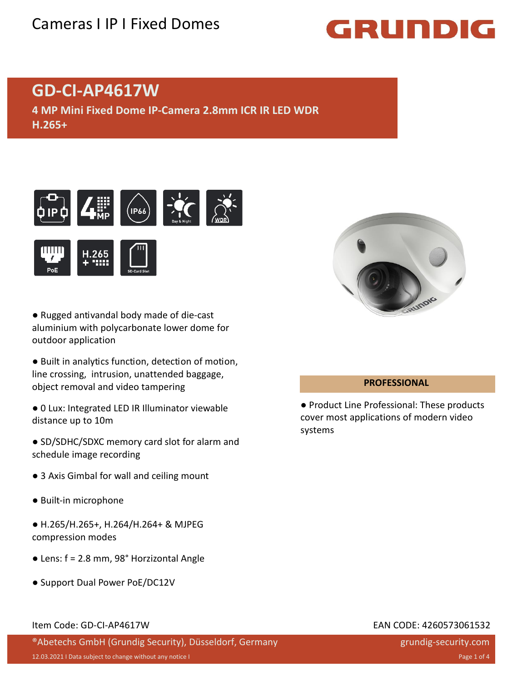## Cameras I IP I Fixed Domes

# GRUNDIG

## **GD-CI-AP4617W**

**4 MP Mini Fixed Dome IP-Camera 2.8mm ICR IR LED WDR H.265+**





- Rugged antivandal body made of die-cast aluminium with polycarbonate lower dome for outdoor application
- Built in analytics function, detection of motion, line crossing, intrusion, unattended baggage, object removal and video tampering
- 0 Lux: Integrated LED IR Illuminator viewable distance up to 10m
- SD/SDHC/SDXC memory card slot for alarm and schedule image recording
- 3 Axis Gimbal for wall and ceiling mount
- Built-in microphone
- H.265/H.265+, H.264/H.264+ & MJPEG compression modes
- Lens: f = 2.8 mm, 98° Horzizontal Angle
- Support Dual Power PoE/DC12V

### **PROFESSIONAL**

● Product Line Professional: These products cover most applications of modern video systems

### Item Code: GD-CI-AP4617W EAN CODE: 4260573061532

®Abetechs GmbH (Grundig Security), Düsseldorf, Germany

grundig-security.com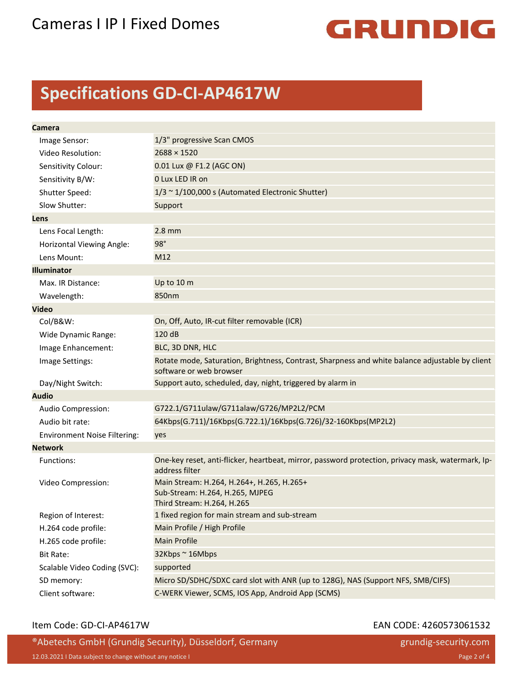

## **Specifications GD-CI-AP4617W**

| Camera                              |                                                                                                                            |
|-------------------------------------|----------------------------------------------------------------------------------------------------------------------------|
| Image Sensor:                       | 1/3" progressive Scan CMOS                                                                                                 |
| Video Resolution:                   | $2688 \times 1520$                                                                                                         |
| Sensitivity Colour:                 | 0.01 Lux @ F1.2 (AGC ON)                                                                                                   |
| Sensitivity B/W:                    | 0 Lux LED IR on                                                                                                            |
| Shutter Speed:                      | $1/3 \sim 1/100,000$ s (Automated Electronic Shutter)                                                                      |
| Slow Shutter:                       | Support                                                                                                                    |
| Lens                                |                                                                                                                            |
| Lens Focal Length:                  | $2.8$ mm                                                                                                                   |
| Horizontal Viewing Angle:           | 98°                                                                                                                        |
| Lens Mount:                         | M12                                                                                                                        |
| <b>Illuminator</b>                  |                                                                                                                            |
| Max. IR Distance:                   | Up to 10 m                                                                                                                 |
| Wavelength:                         | 850nm                                                                                                                      |
| <b>Video</b>                        |                                                                                                                            |
| Col/B&W:                            | On, Off, Auto, IR-cut filter removable (ICR)                                                                               |
| Wide Dynamic Range:                 | 120 dB                                                                                                                     |
| Image Enhancement:                  | BLC, 3D DNR, HLC                                                                                                           |
| Image Settings:                     | Rotate mode, Saturation, Brightness, Contrast, Sharpness and white balance adjustable by client<br>software or web browser |
| Day/Night Switch:                   | Support auto, scheduled, day, night, triggered by alarm in                                                                 |
| <b>Audio</b>                        |                                                                                                                            |
| Audio Compression:                  | G722.1/G711ulaw/G711alaw/G726/MP2L2/PCM                                                                                    |
| Audio bit rate:                     | 64Kbps(G.711)/16Kbps(G.722.1)/16Kbps(G.726)/32-160Kbps(MP2L2)                                                              |
| <b>Environment Noise Filtering:</b> | yes                                                                                                                        |
| <b>Network</b>                      |                                                                                                                            |
| Functions:                          | One-key reset, anti-flicker, heartbeat, mirror, password protection, privacy mask, watermark, Ip-<br>address filter        |
| Video Compression:                  | Main Stream: H.264, H.264+, H.265, H.265+<br>Sub-Stream: H.264, H.265, MJPEG<br>Third Stream: H.264, H.265                 |
| Region of Interest:                 | 1 fixed region for main stream and sub-stream                                                                              |
| H.264 code profile:                 | Main Profile / High Profile                                                                                                |
| H.265 code profile:                 | <b>Main Profile</b>                                                                                                        |
| <b>Bit Rate:</b>                    | 32Kbps ~ 16Mbps                                                                                                            |
| Scalable Video Coding (SVC):        | supported                                                                                                                  |
| SD memory:                          | Micro SD/SDHC/SDXC card slot with ANR (up to 128G), NAS (Support NFS, SMB/CIFS)                                            |
| Client software:                    | C-WERK Viewer, SCMS, IOS App, Android App (SCMS)                                                                           |

### Item Code: GD-CI-AP4617W EAN CODE: 4260573061532

®Abetechs GmbH (Grundig Security), Düsseldorf, Germany 12.03.2021 I Data subject to change without any notice I Page 2 of 4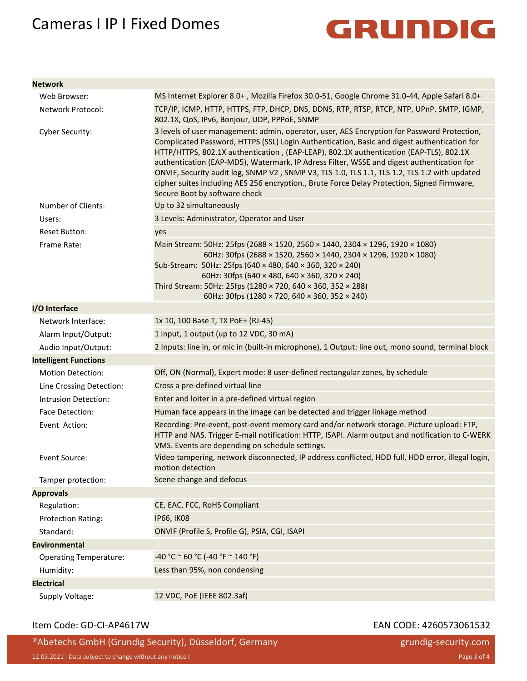## Cameras I IP I Fixed Domes



**Network**

| <b>NETWOLK</b>                |                                                                                                                                                                                                                                                                                                                                                                                                                                                                                                                                                                                                                   |
|-------------------------------|-------------------------------------------------------------------------------------------------------------------------------------------------------------------------------------------------------------------------------------------------------------------------------------------------------------------------------------------------------------------------------------------------------------------------------------------------------------------------------------------------------------------------------------------------------------------------------------------------------------------|
| Web Browser:                  | MS Internet Explorer 8.0+, Mozilla Firefox 30.0-51, Google Chrome 31.0-44, Apple Safari 8.0+                                                                                                                                                                                                                                                                                                                                                                                                                                                                                                                      |
| Network Protocol:             | TCP/IP, ICMP, HTTP, HTTPS, FTP, DHCP, DNS, DDNS, RTP, RTSP, RTCP, NTP, UPnP, SMTP, IGMP,<br>802.1X, QoS, IPv6, Bonjour, UDP, PPPoE, SNMP                                                                                                                                                                                                                                                                                                                                                                                                                                                                          |
| Cyber Security:               | 3 levels of user management: admin, operator, user, AES Encryption for Password Protection,<br>Complicated Password, HTTPS (SSL) Login Authentication, Basic and digest authentication for<br>HTTP/HTTPS, 802.1X authentication, (EAP-LEAP), 802.1X authentication (EAP-TLS), 802.1X<br>authentication (EAP-MD5), Watermark, IP Adress Filter, WSSE and digest authentication for<br>ONVIF, Security audit log, SNMP V2, SNMP V3, TLS 1.0, TLS 1.1, TLS 1.2, TLS 1.2 with updated<br>cipher suites including AES 256 encryption., Brute Force Delay Protection, Signed Firmware,<br>Secure Boot by software check |
| Number of Clients:            | Up to 32 simultaneously                                                                                                                                                                                                                                                                                                                                                                                                                                                                                                                                                                                           |
| Users:                        | 3 Levels: Administrator, Operator and User                                                                                                                                                                                                                                                                                                                                                                                                                                                                                                                                                                        |
| <b>Reset Button:</b>          | yes                                                                                                                                                                                                                                                                                                                                                                                                                                                                                                                                                                                                               |
| Frame Rate:                   | Main Stream: 50Hz: 25fps (2688 × 1520, 2560 × 1440, 2304 × 1296, 1920 × 1080)<br>60Hz: 30fps (2688 × 1520, 2560 × 1440, 2304 × 1296, 1920 × 1080)<br>Sub-Stream: 50Hz: 25fps (640 × 480, 640 × 360, 320 × 240)<br>60Hz: 30fps (640 × 480, 640 × 360, 320 × 240)<br>Third Stream: 50Hz: 25fps (1280 × 720, 640 × 360, 352 × 288)<br>60Hz: 30fps (1280 × 720, 640 × 360, 352 × 240)                                                                                                                                                                                                                                 |
| I/O Interface                 |                                                                                                                                                                                                                                                                                                                                                                                                                                                                                                                                                                                                                   |
| Network Interface:            | 1x 10, 100 Base T, TX PoE+ (RJ-45)                                                                                                                                                                                                                                                                                                                                                                                                                                                                                                                                                                                |
| Alarm Input/Output:           | 1 input, 1 output (up to 12 VDC, 30 mA)                                                                                                                                                                                                                                                                                                                                                                                                                                                                                                                                                                           |
| Audio Input/Output:           | 2 Inputs: line in, or mic in (built-in microphone), 1 Output: line out, mono sound, terminal block                                                                                                                                                                                                                                                                                                                                                                                                                                                                                                                |
| <b>Intelligent Functions</b>  |                                                                                                                                                                                                                                                                                                                                                                                                                                                                                                                                                                                                                   |
| <b>Motion Detection:</b>      | Off, ON (Normal), Expert mode: 8 user-defined rectangular zones, by schedule                                                                                                                                                                                                                                                                                                                                                                                                                                                                                                                                      |
| Line Crossing Detection:      | Cross a pre-defined virtual line                                                                                                                                                                                                                                                                                                                                                                                                                                                                                                                                                                                  |
| Intrusion Detection:          | Enter and loiter in a pre-defined virtual region                                                                                                                                                                                                                                                                                                                                                                                                                                                                                                                                                                  |
| Face Detection:               | Human face appears in the image can be detected and trigger linkage method                                                                                                                                                                                                                                                                                                                                                                                                                                                                                                                                        |
| Event Action:                 | Recording: Pre-event, post-event memory card and/or network storage. Picture upload: FTP,<br>HTTP and NAS. Trigger E-mail notification: HTTP, ISAPI. Alarm output and notification to C-WERK<br>VMS. Events are depending on schedule settings.                                                                                                                                                                                                                                                                                                                                                                   |
| Event Source:                 | Video tampering, network disconnected, IP address conflicted, HDD full, HDD error, illegal login,<br>motion detection                                                                                                                                                                                                                                                                                                                                                                                                                                                                                             |
| Tamper protection:            | Scene change and defocus                                                                                                                                                                                                                                                                                                                                                                                                                                                                                                                                                                                          |
| <b>Approvals</b>              |                                                                                                                                                                                                                                                                                                                                                                                                                                                                                                                                                                                                                   |
| Regulation:                   | CE, EAC, FCC, RoHS Compliant                                                                                                                                                                                                                                                                                                                                                                                                                                                                                                                                                                                      |
| <b>Protection Rating:</b>     | <b>IP66, IK08</b>                                                                                                                                                                                                                                                                                                                                                                                                                                                                                                                                                                                                 |
| Standard:                     | ONVIF (Profile S, Profile G), PSIA, CGI, ISAPI                                                                                                                                                                                                                                                                                                                                                                                                                                                                                                                                                                    |
| <b>Environmental</b>          |                                                                                                                                                                                                                                                                                                                                                                                                                                                                                                                                                                                                                   |
| <b>Operating Temperature:</b> | $-40 °C$ ~ 60 °C (-40 °F ~ 140 °F)                                                                                                                                                                                                                                                                                                                                                                                                                                                                                                                                                                                |
| Humidity:                     | Less than 95%, non condensing                                                                                                                                                                                                                                                                                                                                                                                                                                                                                                                                                                                     |
| <b>Electrical</b>             |                                                                                                                                                                                                                                                                                                                                                                                                                                                                                                                                                                                                                   |
| Supply Voltage:               | 12 VDC, PoE (IEEE 802.3af)                                                                                                                                                                                                                                                                                                                                                                                                                                                                                                                                                                                        |

### Item Code: GD-CI-AP4617W EAN CODE: 4260573061532

®Abetechs GmbH (Grundig Security), Düsseldorf, Germany